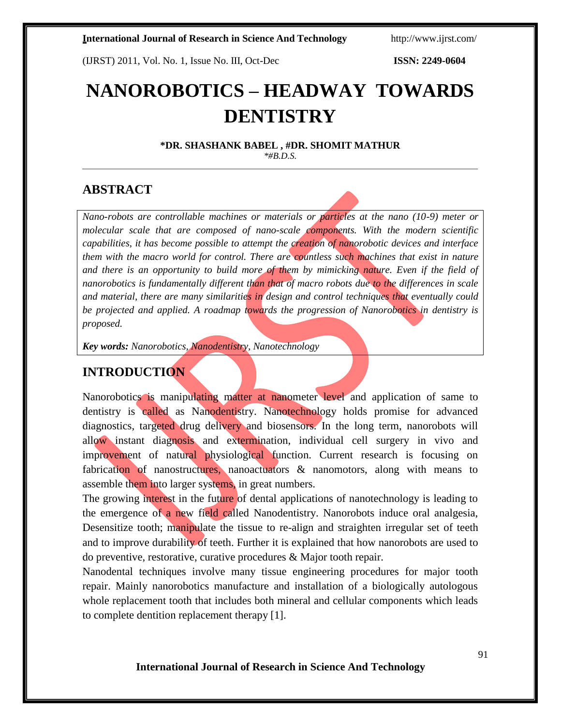(IJRST) 2011, Vol. No. 1, Issue No. III, Oct-Dec **ISSN: 2249-0604**

# **NANOROBOTICS – HEADWAY TOWARDS DENTISTRY**

**\*DR. SHASHANK BABEL , #DR. SHOMIT MATHUR** *\*#B.D.S.*

## **ABSTRACT**

*Nano-robots are controllable machines or materials or particles at the nano (10-9) meter or molecular scale that are composed of nano-scale components. With the modern scientific capabilities, it has become possible to attempt the creation of nanorobotic devices and interface them with the macro world for control. There are countless such machines that exist in nature and there is an opportunity to build more of them by mimicking nature. Even if the field of nanorobotics is fundamentally different than that of macro robots due to the differences in scale and material, there are many similarities in design and control techniques that eventually could be projected and applied. A roadmap towards the progression of Nanorobotics in dentistry is proposed.*

*Key words: Nanorobotics, Nanodentistry, Nanotechnology*

# **INTRODUCTION**

Nanorobotics is manipulating matter at nanometer level and application of same to dentistry is called as Nanodentistry. Nanotechnology holds promise for advanced diagnostics, targeted drug delivery and biosensors. In the long term, nanorobots will allow instant diagnosis and extermination, individual cell surgery in vivo and improvement of natural physiological function. Current research is focusing on fabrication of nanostructures, nanoactuators & nanomotors, along with means to assemble them into larger systems, in great numbers.

The growing interest in the future of dental applications of nanotechnology is leading to the emergence of a new field called Nanodentistry. Nanorobots induce oral analgesia, Desensitize tooth; manipulate the tissue to re-align and straighten irregular set of teeth and to improve durability of teeth. Further it is explained that how nanorobots are used to do preventive, restorative, curative procedures & Major tooth repair.

Nanodental techniques involve many tissue engineering procedures for major tooth repair. Mainly nanorobotics manufacture and installation of a biologically autologous whole replacement tooth that includes both mineral and cellular components which leads to complete dentition replacement therapy [1].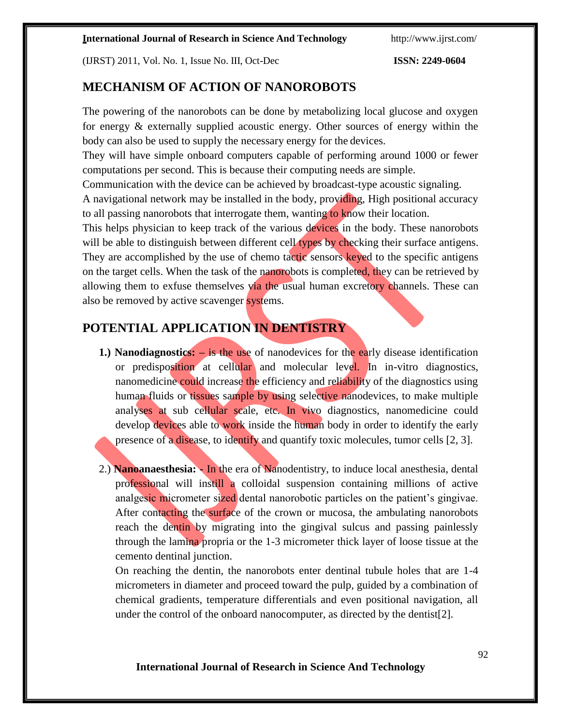(IJRST) 2011, Vol. No. 1, Issue No. III, Oct-Dec **ISSN: 2249-0604**

# **MECHANISM OF ACTION OF NANOROBOTS**

The powering of the nanorobots can be done by metabolizing local glucose and oxygen for energy & externally supplied acoustic energy. Other sources of energy within the body can also be used to supply the necessary energy for the devices.

They will have simple onboard computers capable of performing around 1000 or fewer computations per second. This is because their computing needs are simple.

Communication with the device can be achieved by broadcast-type acoustic signaling.

A navigational network may be installed in the body, providing, High positional accuracy to all passing nanorobots that interrogate them, wanting to know their location.

This helps physician to keep track of the various devices in the body. These nanorobots will be able to distinguish between different cell types by checking their surface antigens. They are accomplished by the use of chemo tactic sensors keyed to the specific antigens on the target cells. When the task of the nanorobots is completed, they can be retrieved by allowing them to exfuse themselves via the usual human excretory channels. These can also be removed by active scavenger systems.

# **POTENTIAL APPLICATION IN DENTISTRY**

- **1.) Nanodiagnostics:** is the use of nanodevices for the early disease identification or predisposition at cellular and molecular level. In in-vitro diagnostics, nanomedicine could increase the efficiency and reliability of the diagnostics using human fluids or tissues sample by using selective nanodevices, to make multiple analyses at sub cellular scale, etc. In vivo diagnostics, nanomedicine could develop devices able to work inside the human body in order to identify the early presence of a disease, to identify and quantify toxic molecules, tumor cells [2, 3].
- 2.) **Nanoanaesthesia: -** In the era of Nanodentistry, to induce local anesthesia, dental professional will instill a colloidal suspension containing millions of active analgesic micrometer sized dental nanorobotic particles on the patient's gingivae. After contacting the surface of the crown or mucosa, the ambulating nanorobots reach the dentin by migrating into the gingival sulcus and passing painlessly through the lamina propria or the 1-3 micrometer thick layer of loose tissue at the cemento dentinal junction.

On reaching the dentin, the nanorobots enter dentinal tubule holes that are 1-4 micrometers in diameter and proceed toward the pulp, guided by a combination of chemical gradients, temperature differentials and even positional navigation, all under the control of the onboard nanocomputer, as directed by the dentist[2].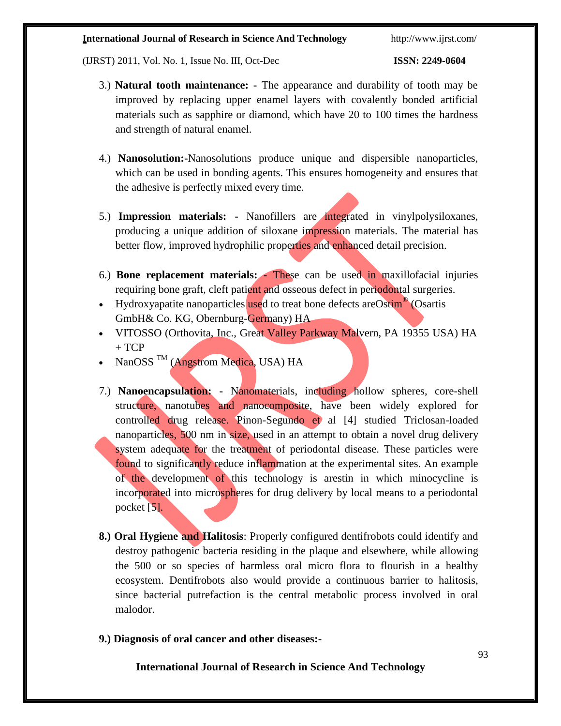(IJRST) 2011, Vol. No. 1, Issue No. III, Oct-Dec **ISSN: 2249-0604**

- 3.) **Natural tooth maintenance: -** The appearance and durability of tooth may be improved by replacing upper enamel layers with covalently bonded artificial materials such as sapphire or diamond, which have 20 to 100 times the hardness and strength of natural enamel.
- 4.) **Nanosolution:-**Nanosolutions produce unique and dispersible nanoparticles, which can be used in bonding agents. This ensures homogeneity and ensures that the adhesive is perfectly mixed every time.
- 5.) **Impression materials: -** Nanofillers are integrated in vinylpolysiloxanes, producing a unique addition of siloxane impression materials. The material has better flow, improved hydrophilic properties and enhanced detail precision.
- 6.) **Bone replacement materials: -** These can be used in maxillofacial injuries requiring bone graft, cleft patient and osseous defect in periodontal surgeries.
- Hydroxyapatite nanoparticles used to treat bone defects are Ostim<sup>®</sup> (Osartis GmbH& Co. KG, Obernburg-Germany) HA
- VITOSSO (Orthovita, Inc., Great Valley Parkway Malvern, PA 19355 USA) HA  $+$  TCP
- NanOSS  $^{TM}$  (Angstrom Medica, USA) HA
- 7.) **Nanoencapsulation:** Nanomaterials, including hollow spheres, core-shell structure, nanotubes and nanocomposite, have been widely explored for controlled drug release. Pinon-Segundo et al [4] studied Triclosan-loaded nanoparticles, 500 nm in size, used in an attempt to obtain a novel drug delivery system adequate for the treatment of periodontal disease. These particles were found to significantly reduce inflammation at the experimental sites. An example of the development of this technology is arestin in which minocycline is incorporated into microspheres for drug delivery by local means to a periodontal pocket [5].
- **8.) Oral Hygiene and Halitosis**: Properly configured dentifrobots could identify and destroy pathogenic bacteria residing in the plaque and elsewhere, while allowing the 500 or so species of harmless oral micro flora to flourish in a healthy ecosystem. Dentifrobots also would provide a continuous barrier to halitosis, since bacterial putrefaction is the central metabolic process involved in oral malodor.
- **9.) Diagnosis of oral cancer and other diseases:-**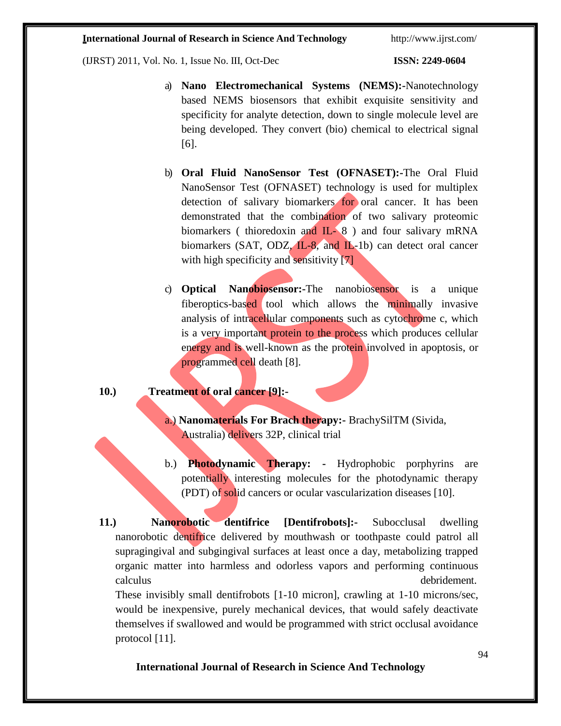(IJRST) 2011, Vol. No. 1, Issue No. III, Oct-Dec **ISSN: 2249-0604**

- a) **Nano Electromechanical Systems (NEMS):-**Nanotechnology based NEMS biosensors that exhibit exquisite sensitivity and specificity for analyte detection, down to single molecule level are being developed. They convert (bio) chemical to electrical signal [6].
- b) **Oral Fluid NanoSensor Test (OFNASET):-**The Oral Fluid NanoSensor Test (OFNASET) technology is used for multiplex detection of salivary biomarkers for oral cancer. It has been demonstrated that the combination of two salivary proteomic biomarkers ( thioredoxin and IL- 8) and four salivary mRNA biomarkers (SAT, ODZ,  $IL-8$ , and  $IL-1b$ ) can detect oral cancer with high specificity and sensitivity [7]
- c) **Optical Nanobiosensor:-**The nanobiosensor is a unique fiberoptics-based tool which allows the minimally invasive analysis of intracellular components such as cytochrome c, which is a very important protein to the process which produces cellular energy and is well-known as the protein involved in apoptosis, or programmed cell death [8].
- **10.) Treatment of oral cancer [9]:**
	- a.) **Nanomaterials For Brach therapy:-** BrachySilTM (Sivida, Australia) delivers 32P, clinical trial
	- b.) **Photodynamic Therapy: -** Hydrophobic porphyrins are potentially interesting molecules for the photodynamic therapy (PDT) of solid cancers or ocular vascularization diseases [10].

**11.) Nanorobotic dentifrice [Dentifrobots]:-** Subocclusal dwelling nanorobotic dentifrice delivered by mouthwash or toothpaste could patrol all supragingival and subgingival surfaces at least once a day, metabolizing trapped organic matter into harmless and odorless vapors and performing continuous calculus debridement. These invisibly small dentifrobots [1-10 micron], crawling at 1-10 microns/sec,

would be inexpensive, purely mechanical devices, that would safely deactivate themselves if swallowed and would be programmed with strict occlusal avoidance protocol [11].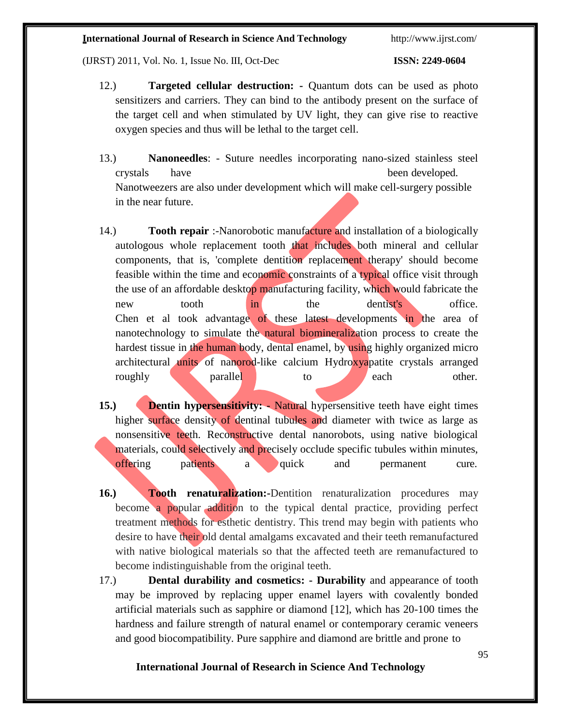(IJRST) 2011, Vol. No. 1, Issue No. III, Oct-Dec **ISSN: 2249-0604**

- 12.) **Targeted cellular destruction: -** Quantum dots can be used as photo sensitizers and carriers. They can bind to the antibody present on the surface of the target cell and when stimulated by UV light, they can give rise to reactive oxygen species and thus will be lethal to the target cell.
- 13.) **Nanoneedles**: Suture needles incorporating nano-sized stainless steel crystals have been developed. Nanotweezers are also under development which will make cell-surgery possible in the near future.
- 14.) **Tooth repair** :-Nanorobotic manufacture and installation of a biologically autologous whole replacement tooth that includes both mineral and cellular components, that is, 'complete dentition replacement therapy' should become feasible within the time and economic constraints of a typical office visit through the use of an affordable desktop manufacturing facility, which would fabricate the new tooth in the dentist's office. Chen et al took advantage of these latest developments in the area of nanotechnology to simulate the natural biomineralization process to create the hardest tissue in the human body, dental enamel, by using highly organized micro architectural units of nanorod-like calcium Hydroxyapatite crystals arranged roughly **parallel** to each other.
- **15.) Dentin hypersensitivity:** Natural hypersensitive teeth have eight times higher surface density of dentinal tubules and diameter with twice as large as nonsensitive teeth. Reconstructive dental nanorobots, using native biological materials, could selectively and precisely occlude specific tubules within minutes, offering patients a quick and permanent cure.
- **16.) Tooth renaturalization:-**Dentition renaturalization procedures may become a popular addition to the typical dental practice, providing perfect treatment methods for esthetic dentistry. This trend may begin with patients who desire to have their old dental amalgams excavated and their teeth remanufactured with native biological materials so that the affected teeth are remanufactured to become indistinguishable from the original teeth.
- 17.) **Dental durability and cosmetics: - Durability** and appearance of tooth may be improved by replacing upper enamel layers with covalently bonded artificial materials such as sapphire or diamond [12], which has 20-100 times the hardness and failure strength of natural enamel or contemporary ceramic veneers and good biocompatibility. Pure sapphire and diamond are brittle and prone to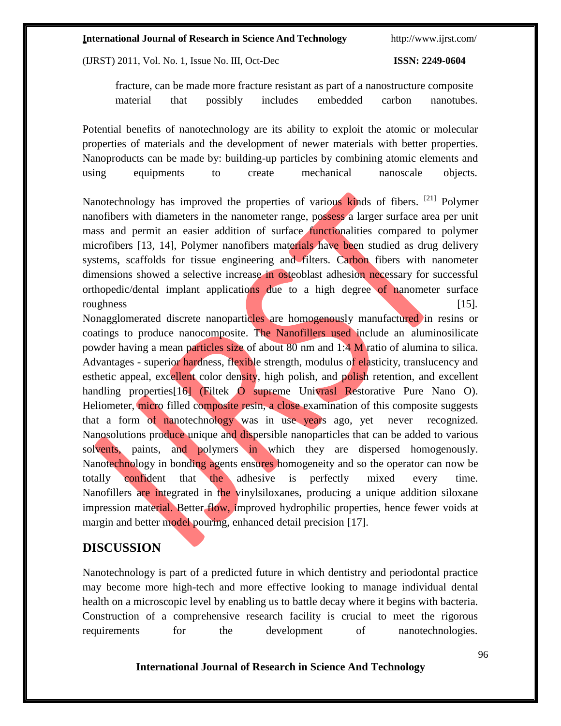(IJRST) 2011, Vol. No. 1, Issue No. III, Oct-Dec **ISSN: 2249-0604**

fracture, can be made more fracture resistant as part of a nanostructure composite material that possibly includes embedded carbon nanotubes.

Potential benefits of nanotechnology are its ability to exploit the atomic or molecular properties of materials and the development of newer materials with better properties. Nanoproducts can be made by: building-up particles by combining atomic elements and using equipments to create mechanical nanoscale objects.

Nanotechnology has improved the properties of various kinds of fibers. <sup>[\[21\]](http://www.jisponline.com/article.asp?issn=0972-124X%3Byear%3D2008%3Bvolume%3D12%3Bissue%3D2%3Bspage%3D34%3Bepage%3D40%3Baulast%3DPatil&ref21)</sup> Polymer nanofibers with diameters in the nanometer range, possess a larger surface area per unit mass and permit an easier addition of surface functionalities compared to polymer microfibers [13, 14], Polymer nanofibers materials have been studied as drug delivery systems, scaffolds for tissue engineering and filters. Carbon fibers with nanometer dimensions showed a selective increase in osteoblast adhesion necessary for successful orthopedic/dental implant applications due to a high degree of nanometer surface roughness [15].

Nonagglomerated discrete nanoparticles are homogenously manufactured in resins or coatings to produce nanocomposite. The Nanofillers used include an aluminosilicate powder having a mean particles size of about 80 nm and 1:4 M ratio of alumina to silica. Advantages - superior hardness, flexible strength, modulus of elasticity, translucency and esthetic appeal, excellent color density, high polish, and polish retention, and excellent handling properties<sup>[16]</sup> (Filtek O supreme Univrasl Restorative Pure Nano O). Heliometer, micro filled composite resin, a close examination of this composite suggests that a form of nanotechnology was in use years ago, yet never recognized. Nanosolutions produce unique and dispersible nanoparticles that can be added to various solvents, paints, and polymers in which they are dispersed homogenously. Nanotechnology in bonding agents ensures homogeneity and so the operator can now be totally confident that the adhesive is perfectly mixed every time. Nanofillers are integrated in the vinylsiloxanes, producing a unique addition siloxane impression material. Better flow, improved hydrophilic properties, hence fewer voids at margin and better model pouring, enhanced detail precision [17].

### **DISCUSSION**

Nanotechnology is part of a predicted future in which dentistry and periodontal practice may become more high-tech and more effective looking to manage individual dental health on a microscopic level by enabling us to battle decay where it begins with bacteria. Construction of a comprehensive research facility is crucial to meet the rigorous requirements for the development of nanotechnologies.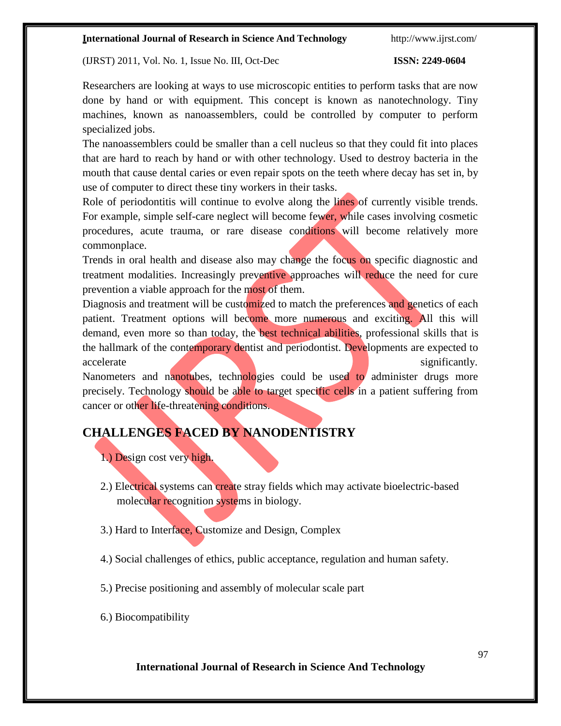(IJRST) 2011, Vol. No. 1, Issue No. III, Oct-Dec **ISSN: 2249-0604**

Researchers are looking at ways to use microscopic entities to perform tasks that are now done by hand or with equipment. This concept is known as nanotechnology. Tiny machines, known as nanoassemblers, could be controlled by computer to perform specialized jobs.

The nanoassemblers could be smaller than a cell nucleus so that they could fit into places that are hard to reach by hand or with other technology. Used to destroy bacteria in the mouth that cause dental caries or even repair spots on the teeth where decay has set in, by use of computer to direct these tiny workers in their tasks.

Role of periodontitis will continue to evolve along the lines of currently visible trends. For example, simple self-care neglect will become fewer, while cases involving cosmetic procedures, acute trauma, or rare disease conditions will become relatively more commonplace.

Trends in oral health and disease also may change the focus on specific diagnostic and treatment modalities. Increasingly preventive approaches will reduce the need for cure prevention a viable approach for the most of them.

Diagnosis and treatment will be customized to match the preferences and genetics of each patient. Treatment options will become more numerous and exciting. All this will demand, even more so than today, the **best technical abilities**, professional skills that is the hallmark of the contemporary dentist and periodontist. Developments are expected to accelerate significantly.

Nanometers and nanotubes, technologies could be used to administer drugs more precisely. Technology should be able to target specific cells in a patient suffering from cancer or other life-threatening conditions.

# **CHALLENGES FACED BY NANODENTISTRY**

1.) Design cost very high.

- 2.) Electrical systems can create stray fields which may activate bioelectric-based molecular recognition systems in biology.
- 3.) Hard to Interface, Customize and Design, Complex
- 4.) Social challenges of ethics, public acceptance, regulation and human safety.
- 5.) Precise positioning and assembly of molecular scale part
- 6.) Biocompatibility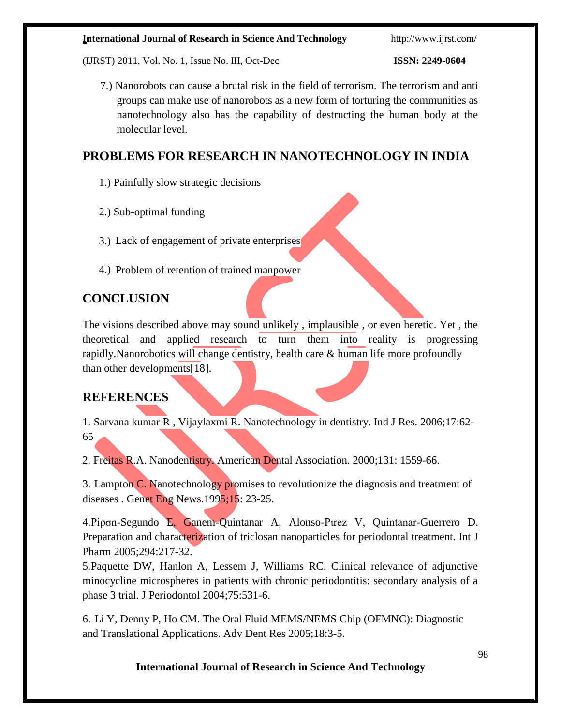(IJRST) 2011, Vol. No. 1, Issue No. III, Oct-Dec **ISSN: 2249-0604**

7.) Nanorobots can cause a brutal risk in the field of terrorism. The terrorism and anti groups can make use of nanorobots as a new form of torturing the communities as nanotechnology also has the capability of destructing the human body at the molecular level.

# **PROBLEMS FOR RESEARCH IN NANOTECHNOLOGY IN INDIA**

- 1.) Painfully slow strategic decisions
- 2.) Sub-optimal funding
- 3.) Lack of engagement of private enterprises
- 4.) Problem of retention of trained manpower

# **CONCLUSION**

The visions described above may sound unlikely , implausible , or even heretic. Yet , the theoretical and applied research to turn them into reality is progressing rapidly.Nanorobotics will change dentistry, health care & human life more profoundly than other developments[18].

# **REFERENCES**

1. Sarvana kumar R , Vijaylaxmi R. Nanotechnology in dentistry. Ind J Res. 2006;17:62- 65

2. Freitas R.A. Nanodentistry. American Dental Association. 2000;131: 1559-66.

3. Lampton C. Nanotechnology promises to revolutionize the diagnosis and treatment of diseases . Genet Eng News.1995;15: 23-25.

4.Piρσn-Segundo E, Ganem-Quintanar A, Alonso-Pιrez V, Quintanar-Guerrero D. Preparation and characterization of triclosan nanoparticles for periodontal treatment. Int J Pharm 2005;294:217-32.

5.Paquette DW, Hanlon A, Lessem J, Williams RC. Clinical relevance of adjunctive minocycline microspheres in patients with chronic periodontitis: secondary analysis of a phase 3 trial. J Periodontol 2004;75:531-6.

6. Li Y, Denny P, Ho CM. The Oral Fluid MEMS/NEMS Chip (OFMNC): Diagnostic and Translational Applications. Adv Dent Res 2005;18:3-5.